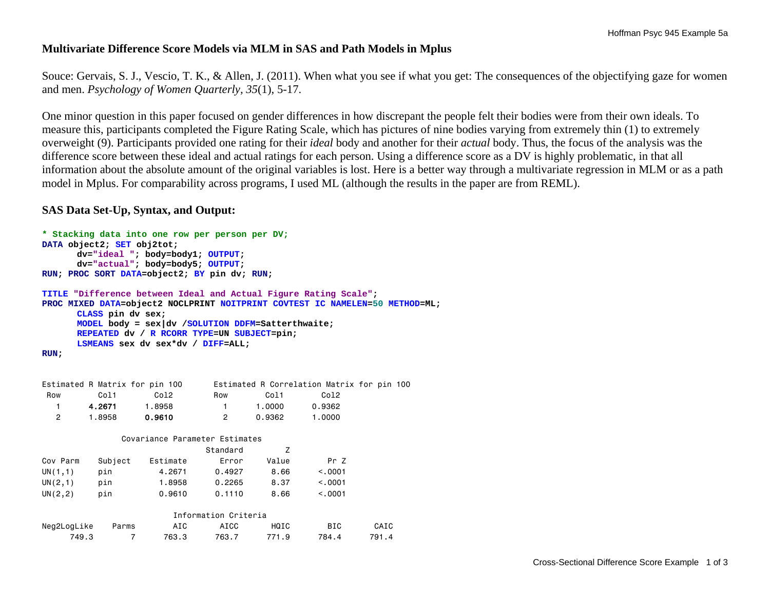# **Multivariate Difference Score Models via MLM in SAS and Path Models in Mplus**

Souce: Gervais, S. J., Vescio, T. K., & Allen, J. (2011). When what you see if what you get: The consequences of the objectifying gaze for women and men. *Psychology of Women Quarterly, 35*(1), 5-17.

One minor question in this paper focused on gender differences in how discrepant the people felt their bodies were from their own ideals. To measure this, participants completed the Figure Rating Scale, which has pictures of nine bodies varying from extremely thin (1) to extremely overweight (9). Participants provided one rating for their *ideal* body and another for their *actual* body. Thus, the focus of the analysis was the difference score between these ideal and actual ratings for each person. Using a difference score as a DV is highly problematic, in that all information about the absolute amount of the original variables is lost. Here is a better way through a multivariate regression in MLM or as a path model in Mplus. For comparability across programs, I used ML (although the results in the paper are from REML).

## **SAS Data Set-Up, Syntax, and Output:**

```
* Stacking data into one row per person per DV;
DATA object2; SET obj2tot; 
       dv="ideal "; body=body1; OUTPUT; 
       dv="actual"; body=body5; OUTPUT; 
RUN; PROC SORT DATA=object2; BY pin dv; RUN; 
TITLE "Difference between Ideal and Actual Figure Rating Scale"; 
PROC MIXED DATA=object2 NOCLPRINT NOITPRINT COVTEST IC NAMELEN=50 METHOD=ML; 
      CLASS pin dv sex; 
      MODEL body = sex|dv /SOLUTION DDFM=Satterthwaite; 
      REPEATED dv / R RCORR TYPE=UN SUBJECT=pin; 
      LSMEANS sex dv sex*dv / DIFF=ALL; 
RUN;
```

|  | Estimated R Matrix for pin 100 |            |                 |           | Estimated R Correlation Matrix for pin 100 |  |
|--|--------------------------------|------------|-----------------|-----------|--------------------------------------------|--|
|  |                                | <b>Row</b> |                 | Coli Col2 |                                            |  |
|  | 1 4.2671 1.8958                |            | 1 1.0000 0.9362 |           |                                            |  |
|  | 2 1.8958 0 <b>.9610</b>        |            | 2 0.9362 1.0000 |           |                                            |  |

|             |         |          | Covariance Parameter Estimates |       |            |      |
|-------------|---------|----------|--------------------------------|-------|------------|------|
|             |         |          | Standard                       | Z     |            |      |
| Cov Parm    | Subject | Estimate | Error                          | Value | Pr Z       |      |
| UN(1,1)     | pin     | 4.2671   | 0.4927                         | 8.66  | < 0.0001   |      |
| UN(2,1)     | pin     | 1,8958   | 0.2265                         | 8.37  | < 0.001    |      |
| UN(2, 2)    | pin     | 0.9610   | 0.1110                         | 8.66  | < 0.001    |      |
|             |         |          | Information Criteria           |       |            |      |
| Neg2LogLike | Parms   | AIC      | AICC                           | HQIC  | <b>BIC</b> | CAIC |

749.3 7 763.3 763.7 771.9 784.4 791.4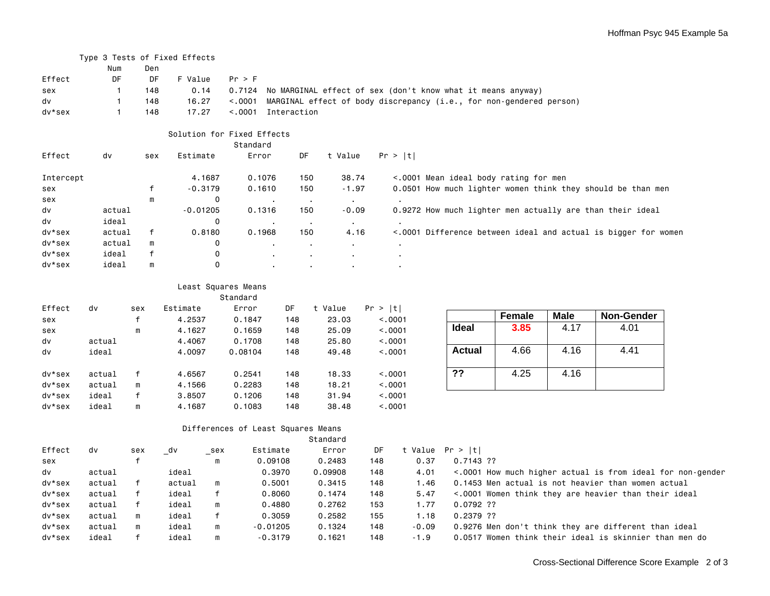### Type 3 Tests of Fixed Effects

|        | Num | Den |         |         |                                                                                   |
|--------|-----|-----|---------|---------|-----------------------------------------------------------------------------------|
| Effect | DF  | DF  | F Value | Pr > F  |                                                                                   |
| sex    |     | 148 |         |         | 0.14 0.7124 No MARGINAL effect of sex (don't know what it means anyway)           |
| dv     |     | 148 |         |         | 16.27 < .0001 MARGINAL effect of body discrepancy (i.e., for non-gendered person) |
| dv*sex |     | 148 | 17.27   | < 0.001 | Interaction                                                                       |

|           |        |             | Solution for Fixed Effects |              |                |         |                                                                |
|-----------|--------|-------------|----------------------------|--------------|----------------|---------|----------------------------------------------------------------|
|           |        |             |                            | Standard     |                |         |                                                                |
| Effect    | dv     | sex         | Estimate                   | Error        | DF             | t Value | Pr >  t                                                        |
| Intercept |        |             | 4,1687                     | 0.1076       | 150            | 38.74   | <.0001 Mean ideal body rating for men                          |
| sex       |        |             | $-0.3179$                  | 0.1610       | 150            | $-1.97$ | 0.0501 How much lighter women think they should be than men    |
| sex       |        | m           | 0                          | $\mathbf{r}$ | $\mathbf{r}$   | . .     | . .                                                            |
| dv        | actual |             | $-0.01205$                 | 0.1316       | 150            | $-0.09$ | 0.9272 How much lighter men actually are than their ideal      |
| dv        | ideal  |             | 0                          |              | $\blacksquare$ | $\sim$  | . .                                                            |
| dv*sex    | actual |             | 0.8180                     | 0.1968       | 150            | 4.16    | <.0001 Difference between ideal and actual is bigger for women |
| dv*sex    | actual | m           | 0                          |              | $\blacksquare$ |         |                                                                |
| dv*sex    | ideal  | $\mathbf f$ | 0                          |              | $\mathbf{r}$   |         |                                                                |
| dv*sex    | ideal  | m           | 0                          |              | $\blacksquare$ |         |                                                                |

## Least Squares Means

|           |        |     |          | Standard |     |         |         |
|-----------|--------|-----|----------|----------|-----|---------|---------|
| Effect    | dv     | sex | Estimate | Error    | DF  | t Value | Pr >  t |
| sex       |        | f   | 4.2537   | 0.1847   | 148 | 23,03   | < 0.001 |
| sex       |        | m   | 4.1627   | 0.1659   | 148 | 25,09   | < 0.001 |
| dv        | actual |     | 4.4067   | 0.1708   | 148 | 25.80   | < 0.001 |
| dv        | ideal  |     | 4.0097   | 0.08104  | 148 | 49.48   | < 0.001 |
| dv*sex    | actual | f   | 4.6567   | 0.2541   | 148 | 18.33   | < 0.001 |
|           |        |     |          |          |     |         |         |
| dv*sex    | actual | m   | 4.1566   | 0.2283   | 148 | 18,21   | < 0.001 |
| $dv*$ sex | ideal  | f   | 3.8507   | 0.1206   | 148 | 31.94   | < 0.001 |
| $dv$ *sex | ideal  | m   | 4.1687   | 0.1083   | 148 | 38,48   | < 0.001 |

|        | <b>Female</b> | <b>Male</b> | <b>Non-Gender</b> |
|--------|---------------|-------------|-------------------|
| Ideal  | 3.85          | 4.17        | 4.01              |
| Actual | 4.66          | 4.16        | 4.41              |
| ??     | 4.25          | 4.16        |                   |

#### Differences of Least Squares Means

|        |        |     |        |     |            | Standard |     |         |                                                            |
|--------|--------|-----|--------|-----|------------|----------|-----|---------|------------------------------------------------------------|
| Effect | dv     | sex | dv     | sex | Estimate   | Error    | DF. |         | Value Pr >  t                                              |
| sex    |        |     |        | m   | 0.09108    | 0.2483   | 148 | 0.37    | $0.7143$ ??                                                |
| dv     | actual |     | ideal  |     | 0.3970     | 0.09908  | 148 | 4.01    | <.0001 How much higher actual is from ideal for non-gender |
| dv*sex | actual | f   | actual | m   | 0.5001     | 0.3415   | 148 | 1.46    | 0.1453 Men actual is not heavier than women actual         |
| dv*sex | actual |     | ideal  |     | 0.8060     | 0.1474   | 148 | 5.47    | <.0001 Women think they are heavier than their ideal       |
| dv*sex | actual |     | ideal  | m   | 0.4880     | 0.2762   | 153 | 1.77    | $0.0792$ ??                                                |
| dv*sex | actual | m   | ideal  |     | 0.3059     | 0.2582   | 155 | 1.18    | $0.2379$ ??                                                |
| dv*sex | actual | m   | ideal  | m   | $-0.01205$ | 0.1324   | 148 | $-0.09$ | 0.9276 Men don't think they are different than ideal       |
| dv*sex | ideal  | f   | ideal  | m   | -0.3179    | 0.1621   | 148 | $-1.9$  | 0.0517 Women think their ideal is skinnier than men do     |